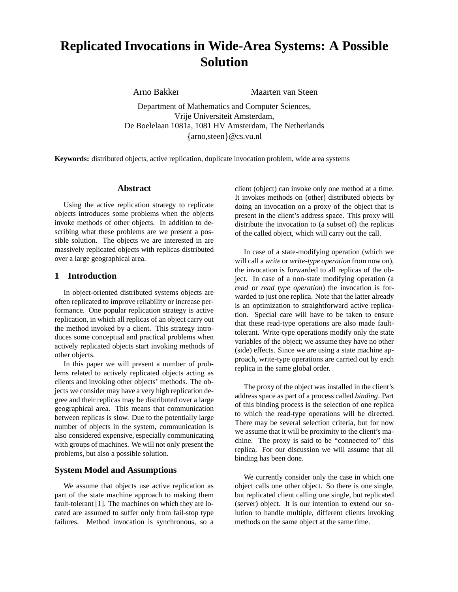# **Replicated Invocations in Wide-Area Systems: A Possible Solution**

Arno Bakker Maarten van Steen

Department of Mathematics and Computer Sciences, Vrije Universiteit Amsterdam, De Boelelaan 1081a, 1081 HV Amsterdam, The Netherlands arno,steen @cs.vu.nl

**Keywords:** distributed objects, active replication, duplicate invocation problem, wide area systems

#### **Abstract**

Using the active replication strategy to replicate objects introduces some problems when the objects invoke methods of other objects. In addition to describing what these problems are we present a possible solution. The objects we are interested in are massively replicated objects with replicas distributed over a large geographical area.

## **1 Introduction**

In object-oriented distributed systems objects are often replicated to improve reliability or increase performance. One popular replication strategy is active replication, in which all replicas of an object carry out the method invoked by a client. This strategy introduces some conceptual and practical problems when actively replicated objects start invoking methods of other objects.

In this paper we will present a number of problems related to actively replicated objects acting as clients and invoking other objects' methods. The objects we consider may have a very high replication degree and their replicas may be distributed over a large geographical area. This means that communication between replicas is slow. Due to the potentially large number of objects in the system, communication is also considered expensive, especially communicating with groups of machines. We will not only present the problems, but also a possible solution.

## **System Model and Assumptions**

We assume that objects use active replication as part of the state machine approach to making them fault-tolerant [1]. The machines on which they are located are assumed to suffer only from fail-stop type failures. Method invocation is synchronous, so a

client (object) can invoke only one method at a time. It invokes methods on (other) distributed objects by doing an invocation on a proxy of the object that is present in the client's address space. This proxy will distribute the invocation to (a subset of) the replicas of the called object, which will carry out the call.

In case of a state-modifying operation (which we will call a *write* or *write-type operation* from now on), the invocation is forwarded to all replicas of the object. In case of a non-state modifying operation (a *read* or *read type operation*) the invocation is forwarded to just one replica. Note that the latter already is an optimization to straightforward active replication. Special care will have to be taken to ensure that these read-type operations are also made faulttolerant. Write-type operations modify only the state variables of the object; we assume they have no other (side) effects. Since we are using a state machine approach, write-type operations are carried out by each replica in the same global order.

The proxy of the object was installed in the client's address space as part of a process called *binding*. Part of this binding process is the selection of one replica to which the read-type operations will be directed. There may be several selection criteria, but for now we assume that it will be proximity to the client's machine. The proxy is said to be "connected to" this replica. For our discussion we will assume that all binding has been done.

We currently consider only the case in which one object calls one other object. So there is one single, but replicated client calling one single, but replicated (server) object. It is our intention to extend our solution to handle multiple, different clients invoking methods on the same object at the same time.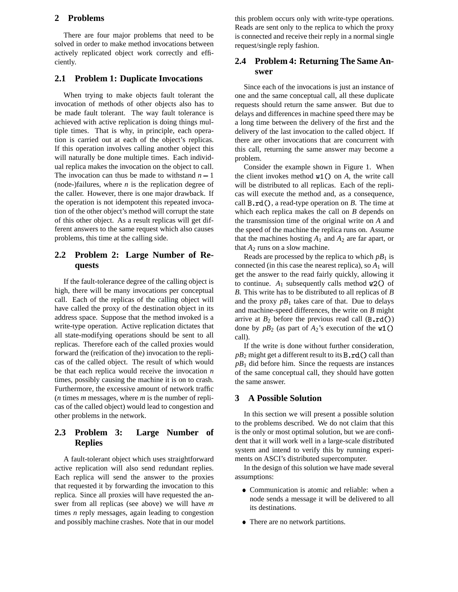### **2 Problems**

There are four major problems that need to be solved in order to make method invocations between actively replicated object work correctly and efficiently.

#### **2.1 Problem 1: Duplicate Invocations**

When trying to make objects fault tolerant the invocation of methods of other objects also has to be made fault tolerant. The way fault tolerance is achieved with active replication is doing things multiple times. That is why, in principle, each operation is carried out at each of the object's replicas. If this operation involves calling another object this will naturally be done multiple times. Each individual replica makes the invocation on the object to call. The invocation can thus be made to withstand  $n-1$ (node-)failures, where *n* is the replication degree of the caller. However, there is one major drawback. If the operation is not idempotent this repeated invocation of the other object's method will corrupt the state of this other object. As a result replicas will get different answers to the same request which also causes problems, this time at the calling side.

# **2.2 Problem 2: Large Number of Requests**

If the fault-tolerance degree of the calling object is high, there will be many invocations per conceptual call. Each of the replicas of the calling object will have called the proxy of the destination object in its address space. Suppose that the method invoked is a write-type operation. Active replication dictates that all state-modifying operations should be sent to all replicas. Therefore each of the called proxies would forward the (reification of the) invocation to the replicas of the called object. The result of which would be that each replica would receive the invocation *n* times, possibly causing the machine it is on to crash. Furthermore, the excessive amount of network traffic (*n* times *m* messages, where *m* is the number of replicas of the called object) would lead to congestion and other problems in the network.

# **2.3 Problem 3: Large Number of Replies**

A fault-tolerant object which uses straightforward active replication will also send redundant replies. Each replica will send the answer to the proxies that requested it by forwarding the invocation to this replica. Since all proxies will have requested the answer from all replicas (see above) we will have *m* times *n* reply messages, again leading to congestion and possibly machine crashes. Note that in our model

this problem occurs only with write-type operations. Reads are sent only to the replica to which the proxy is connected and receive their reply in a normal single request/single reply fashion.

# **2.4 Problem 4: Returning The Same Answer**

Since each of the invocations is just an instance of one and the same conceptual call, all these duplicate requests should return the same answer. But due to delays and differences in machine speed there may be a long time between the delivery of the first and the delivery of the last invocation to the called object. If there are other invocations that are concurrent with this call, returning the same answer may become a problem.

Consider the example shown in Figure 1. When the client invokes method  $w1()$  on  $A$ , the write call will be distributed to all replicas. Each of the replicas will execute the method and, as a consequence, call  $B \cdot rd()$ , a read-type operation on *B*. The time at which each replica makes the call on *B* depends on the transmission time of the original write on *A* and the speed of the machine the replica runs on. Assume that the machines hosting  $A_1$  and  $A_2$  are far apart, or that  $A_2$  runs on a slow machine.

Reads are processed by the replica to which  $pB_1$  is connected (in this case the nearest replica), so  $A_1$  will get the answer to the read fairly quickly, allowing it to continue.  $A_1$  subsequently calls method  $w2()$  of *B*. This write has to be distributed to all replicas of *B* and the proxy  $p_1$  takes care of that. Due to delays and machine-speed differences, the write on *B* might arrive at  $B_2$  before the previous read call  $(B \cdot rd())$ done by  $pB_2$  (as part of  $A_2$ 's execution of the w1() call).

If the write is done without further consideration,  $pB_2$  might get a different result to its **B**.  $rd()$  call than  $pB_1$  did before him. Since the requests are instances of the same conceptual call, they should have gotten the same answer.

## **3 A Possible Solution**

In this section we will present a possible solution to the problems described. We do not claim that this is the only or most optimal solution, but we are confident that it will work well in a large-scale distributed system and intend to verify this by running experiments on ASCI's distributed supercomputer.

In the design of this solution we have made several assumptions:

- Communication is atomic and reliable: when a node sends a message it will be delivered to all its destinations.
- There are no network partitions.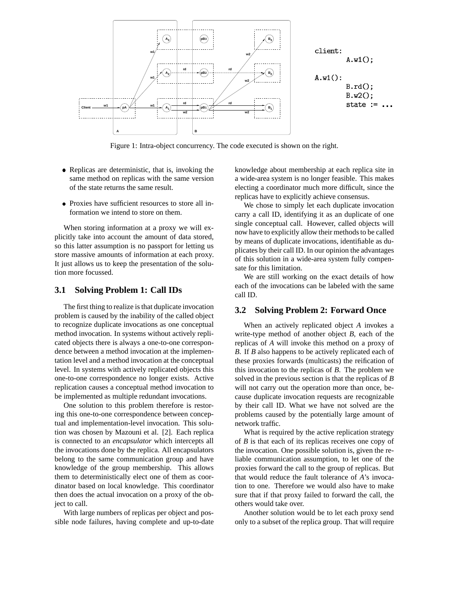

Figure 1: Intra-object concurrency. The code executed is shown on the right.

- Replicas are deterministic, that is, invoking the same method on replicas with the same version of the state returns the same result.
- Proxies have sufficient resources to store all information we intend to store on them.

When storing information at a proxy we will explicitly take into account the amount of data stored, so this latter assumption is no passport for letting us store massive amounts of information at each proxy. It just allows us to keep the presentation of the solution more focussed.

### **3.1 Solving Problem 1: Call IDs**

The first thing to realize is that duplicate invocation problem is caused by the inability of the called object to recognize duplicate invocations as one conceptual method invocation. In systems without actively replicated objects there is always a one-to-one correspondence between a method invocation at the implementation level and a method invocation at the conceptual level. In systems with actively replicated objects this one-to-one correspondence no longer exists. Active replication causes a conceptual method invocation to be implemented as multiple redundant invocations.

One solution to this problem therefore is restoring this one-to-one correspondence between conceptual and implementation-level invocation. This solution was chosen by Mazouni et al. [2]. Each replica is connected to an *encapsulator* which intercepts all the invocations done by the replica. All encapsulators belong to the same communication group and have knowledge of the group membership. This allows them to deterministically elect one of them as coordinator based on local knowledge. This coordinator then does the actual invocation on a proxy of the object to call.

With large numbers of replicas per object and possible node failures, having complete and up-to-date knowledge about membership at each replica site in a wide-area system is no longer feasible. This makes electing a coordinator much more difficult, since the replicas have to explicitly achieve consensus.

We chose to simply let each duplicate invocation carry a call ID, identifying it as an duplicate of one single conceptual call. However, called objects will now have to explicitly allow their methods to be called by means of duplicate invocations, identifiable as duplicates by their call ID. In our opinion the advantages of this solution in a wide-area system fully compensate for this limitation.

We are still working on the exact details of how each of the invocations can be labeled with the same call ID.

### **3.2 Solving Problem 2: Forward Once**

When an actively replicated object *A* invokes a write-type method of another object *B*, each of the replicas of *A* will invoke this method on a proxy of *B*. If *B* also happens to be actively replicated each of these proxies forwards (multicasts) the reification of this invocation to the replicas of *B*. The problem we solved in the previous section is that the replicas of *B* will not carry out the operation more than once, because duplicate invocation requests are recognizable by their call ID. What we have not solved are the problems caused by the potentially large amount of network traffic.

What is required by the active replication strategy of *B* is that each of its replicas receives one copy of the invocation. One possible solution is, given the reliable communication assumption, to let one of the proxies forward the call to the group of replicas. But that would reduce the fault tolerance of *A*'s invocation to one. Therefore we would also have to make sure that if that proxy failed to forward the call, the others would take over.

Another solution would be to let each proxy send only to a subset of the replica group. That will require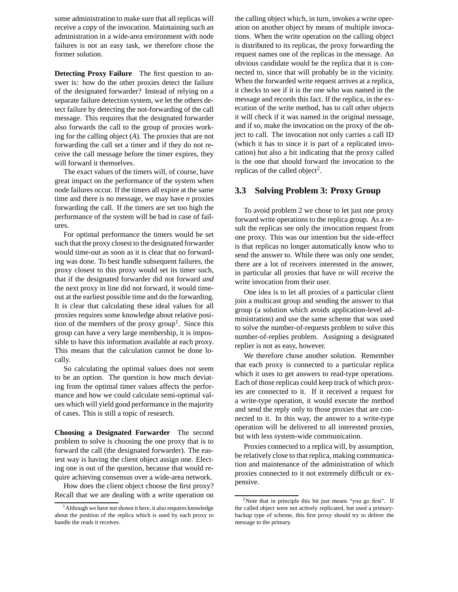some administration to make sure that all replicas will receive a copy of the invocation. Maintaining such an administration in a wide-area environment with node failures is not an easy task, we therefore chose the former solution.

**Detecting Proxy Failure** The first question to answer is: how do the other proxies detect the failure of the designated forwarder? Instead of relying on a separate failure detection system, we let the others detect failure by detecting the not-forwarding of the call message. This requires that the designated forwarder also forwards the call to the group of proxies working for the calling object (*A*). The proxies that are not forwarding the call set a timer and if they do not receive the call message before the timer expires, they will forward it themselves.

The exact values of the timers will, of course, have great impact on the performance of the system when node failures occur. If the timers all expire at the same time and there is no message, we may have *n* proxies forwarding the call. If the timers are set too high the performance of the system will be bad in case of failures.

For optimal performance the timers would be set such that the proxy closest to the designated forwarder would time-out as soon as it is clear that no forwarding was done. To best handle subsequent failures, the proxy closest to this proxy would set its timer such, that if the designated forwarder did not forward *and* the next proxy in line did not forward, it would timeout at the earliest possible time and do the forwarding. It is clear that calculating these ideal values for all proxies requires some knowledge about relative position of the members of the proxy group<sup>1</sup>. Since this group can have a very large membership, it is impossible to have this information available at each proxy. This means that the calculation cannot be done locally.

So calculating the optimal values does not seem to be an option. The question is how much deviating from the optimal timer values affects the performance and how we could calculate semi-optimal values which will yield good performance in the majority of cases. This is still a topic of research.

**Choosing a Designated Forwarder** The second problem to solve is choosing the one proxy that is to forward the call (the designated forwarder). The easiest way is having the client object assign one. Electing one is out of the question, because that would require achieving consensus over a wide-area network.

How does the client object choose the first proxy? Recall that we are dealing with a write operation on

the calling object which, in turn, invokes a write operation on another object by means of multiple invocations. When the write operation on the calling object is distributed to its replicas, the proxy forwarding the request names one of the replicas in the message. An obvious candidate would be the replica that it is connected to, since that will probably be in the vicinity. When the forwarded write request arrives at a replica, it checks to see if it is the one who was named in the message and records this fact. If the replica, in the execution of the write method, has to call other objects it will check if it was named in the original message, and if so, make the invocation on the proxy of the object to call. The invocation not only carries a call ID (which it has to since it is part of a replicated invocation) but also a bit indicating that the proxy called is the one that should forward the invocation to the replicas of the called object<sup>2</sup>.

## **3.3 Solving Problem 3: Proxy Group**

To avoid problem 2 we chose to let just one proxy forward write operations to the replica group. As a result the replicas see only the invocation request from one proxy. This was our intention but the side-effect is that replicas no longer automatically know who to send the answer to. While there was only one sender, there are a lot of receivers interested in the answer, in particular all proxies that have or will receive the write invocation from their user.

One idea is to let all proxies of a particular client join a multicast group and sending the answer to that group (a solution which avoids application-level administration) and use the same scheme that was used to solve the number-of-requests problem to solve this number-of-replies problem. Assigning a designated replier is not as easy, however.

We therefore chose another solution. Remember that each proxy is connected to a particular replica which it uses to get answers to read-type operations. Each of those replicas could keep track of which proxies are connected to it. If it received a request for a write-type operation, it would execute the method and send the reply only to those proxies that are connected to it. In this way, the answer to a write-type operation will be delivered to all interested proxies, but with less system-wide communication.

Proxies connected to a replica will, by assumption, be relatively close to that replica, making communication and maintenance of the administration of which proxies connected to it not extremely difficult or expensive.

<sup>&</sup>lt;sup>1</sup>Although we have not shown it here, it also requires knowledge about the position of the replica which is used by each proxy to handle the reads it receives.

<sup>2</sup>Note that in principle this bit just means "you go first". If the called object were not actively replicated, but used a primarybackup type of scheme, this first proxy should try to deliver the message to the primary.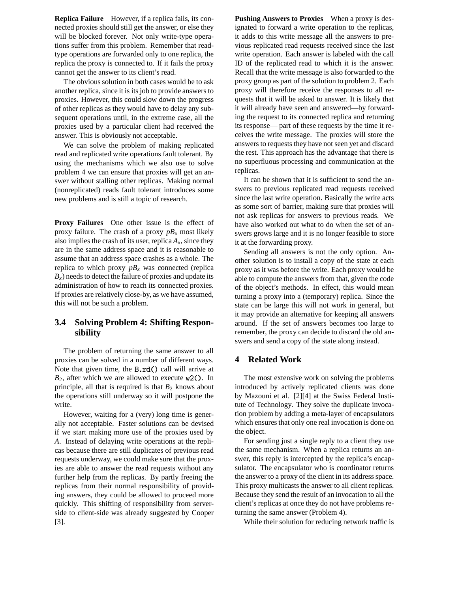**Replica Failure** However, if a replica fails, its connected proxies should still get the answer, or else they will be blocked forever. Not only write-type operations suffer from this problem. Remember that readtype operations are forwarded only to one replica, the replica the proxy is connected to. If it fails the proxy cannot get the answer to its client's read.

The obvious solution in both cases would be to ask another replica, since it is its job to provide answers to proxies. However, this could slow down the progress of other replicas as they would have to delay any subsequent operations until, in the extreme case, all the proxies used by a particular client had received the answer. This is obviously not acceptable.

We can solve the problem of making replicated read and replicated write operations fault tolerant. By using the mechanisms which we also use to solve problem 4 we can ensure that proxies will get an answer without stalling other replicas. Making normal (nonreplicated) reads fault tolerant introduces some new problems and is still a topic of research.

**Proxy Failures** One other issue is the effect of proxy failure. The crash of a proxy  $p_{\mathcal{X}}$  most likely also implies the crash of its user, replica  $A_x$ , since they are in the same address space and it is reasonable to assume that an address space crashes as a whole. The replica to which proxy  $p_{x}$  was connected (replica  $B<sub>x</sub>$ ) needs to detect the failure of proxies and update its administration of how to reach its connected proxies. If proxies are relatively close-by, as we have assumed, this will not be such a problem.

# **3.4 Solving Problem 4: Shifting Responsibility**

The problem of returning the same answer to all proxies can be solved in a number of different ways. Note that given time, the  $B.rd()$  call will arrive at  $B_2$ , after which we are allowed to execute  $w2()$ . In principle, all that is required is that  $B_2$  knows about the operations still underway so it will postpone the write.

However, waiting for a (very) long time is generally not acceptable. Faster solutions can be devised if we start making more use of the proxies used by *A*. Instead of delaying write operations at the replicas because there are still duplicates of previous read requests underway, we could make sure that the proxies are able to answer the read requests without any further help from the replicas. By partly freeing the replicas from their normal responsibility of providing answers, they could be allowed to proceed more quickly. This shifting of responsibility from serverside to client-side was already suggested by Cooper [3].

**Pushing Answers to Proxies** When a proxy is designated to forward a write operation to the replicas, it adds to this write message all the answers to previous replicated read requests received since the last write operation. Each answer is labeled with the call ID of the replicated read to which it is the answer. Recall that the write message is also forwarded to the proxy group as part of the solution to problem 2. Each proxy will therefore receive the responses to all requests that it will be asked to answer. It is likely that it will already have seen and answered—by forwarding the request to its connected replica and returning its response— part of these requests by the time it receives the write message. The proxies will store the answers to requests they have not seen yet and discard the rest. This approach has the advantage that there is no superfluous processing and communication at the replicas.

It can be shown that it is sufficient to send the answers to previous replicated read requests received since the last write operation. Basically the write acts as some sort of barrier, making sure that proxies will not ask replicas for answers to previous reads. We have also worked out what to do when the set of answers grows large and it is no longer feasible to store it at the forwarding proxy.

Sending all answers is not the only option. Another solution is to install a copy of the state at each proxy as it was before the write. Each proxy would be able to compute the answers from that, given the code of the object's methods. In effect, this would mean turning a proxy into a (temporary) replica. Since the state can be large this will not work in general, but it may provide an alternative for keeping all answers around. If the set of answers becomes too large to remember, the proxy can decide to discard the old answers and send a copy of the state along instead.

# **4 Related Work**

The most extensive work on solving the problems introduced by actively replicated clients was done by Mazouni et al. [2][4] at the Swiss Federal Institute of Technology. They solve the duplicate invocation problem by adding a meta-layer of encapsulators which ensures that only one real invocation is done on the object.

For sending just a single reply to a client they use the same mechanism. When a replica returns an answer, this reply is intercepted by the replica's encapsulator. The encapsulator who is coordinator returns the answer to a proxy of the client in its address space. This proxy multicasts the answer to all client replicas. Because they send the result of an invocation to all the client's replicas at once they do not have problems returning the same answer (Problem 4).

While their solution for reducing network traffic is